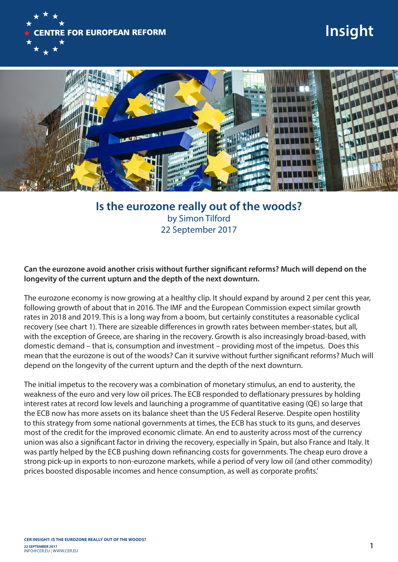

## **Insight**



## **Is the eurozone really out of the woods?** by Simon Tilford 22 September 2017

**Can the eurozone avoid another crisis without further significant reforms? Much will depend on the longevity of the current upturn and the depth of the next downturn.**

The eurozone economy is now growing at a healthy clip. It should expand by around 2 per cent this year, following growth of about that in 2016. The IMF and the European Commission expect similar growth rates in 2018 and 2019. This is a long way from a boom, but certainly constitutes a reasonable cyclical recovery (see chart 1). There are sizeable differences in growth rates between member-states, but all, with the exception of Greece, are sharing in the recovery. Growth is also increasingly broad-based, with domestic demand – that is, consumption and investment – providing most of the impetus. Does this mean that the eurozone is out of the woods? Can it survive without further significant reforms? Much will depend on the longevity of the current upturn and the depth of the next downturn.

The initial impetus to the recovery was a combination of monetary stimulus, an end to austerity, the weakness of the euro and very low oil prices. The ECB responded to deflationary pressures by holding interest rates at record low levels and launching a programme of quantitative easing (QE) so large that the ECB now has more assets on its balance sheet than the US Federal Reserve. Despite open hostility to this strategy from some national governments at times, the ECB has stuck to its guns, and deserves most of the credit for the improved economic climate. An end to austerity across most of the currency union was also a significant factor in driving the recovery, especially in Spain, but also France and Italy. It was partly helped by the ECB pushing down refinancing costs for governments. The cheap euro drove a strong pick-up in exports to non-eurozone markets, while a period of very low oil (and other commodity) prices boosted disposable incomes and hence consumption, as well as corporate profits.'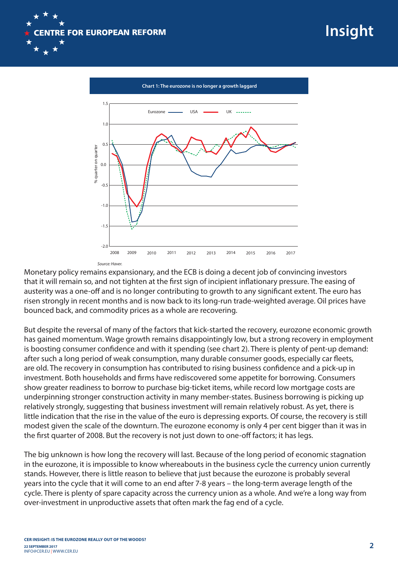



Monetary policy remains expansionary, and the ECB is doing a decent job of convincing investors that it will remain so, and not tighten at the first sign of incipient inflationary pressure. The easing of austerity was a one-off and is no longer contributing to growth to any significant extent. The euro has risen strongly in recent months and is now back to its long-run trade-weighted average. Oil prices have bounced back, and commodity prices as a whole are recovering.

But despite the reversal of many of the factors that kick-started the recovery, eurozone economic growth has gained momentum. Wage growth remains disappointingly low, but a strong recovery in employment is boosting consumer confidence and with it spending (see chart 2). There is plenty of pent-up demand: after such a long period of weak consumption, many durable consumer goods, especially car fleets, are old. The recovery in consumption has contributed to rising business confidence and a pick-up in investment. Both households and firms have rediscovered some appetite for borrowing. Consumers show greater readiness to borrow to purchase big-ticket items, while record low mortgage costs are underpinning stronger construction activity in many member-states. Business borrowing is picking up relatively strongly, suggesting that business investment will remain relatively robust. As yet, there is little indication that the rise in the value of the euro is depressing exports. Of course, the recovery is still modest given the scale of the downturn. The eurozone economy is only 4 per cent bigger than it was in the first quarter of 2008. But the recovery is not just down to one-off factors; it has legs.

The big unknown is how long the recovery will last. Because of the long period of economic stagnation in the eurozone, it is impossible to know whereabouts in the business cycle the currency union currently stands. However, there is little reason to believe that just because the eurozone is probably several years into the cycle that it will come to an end after 7-8 years – the long-term average length of the cycle. There is plenty of spare capacity across the currency union as a whole. And we're a long way from over-investment in unproductive assets that often mark the fag end of a cycle.

**Insight**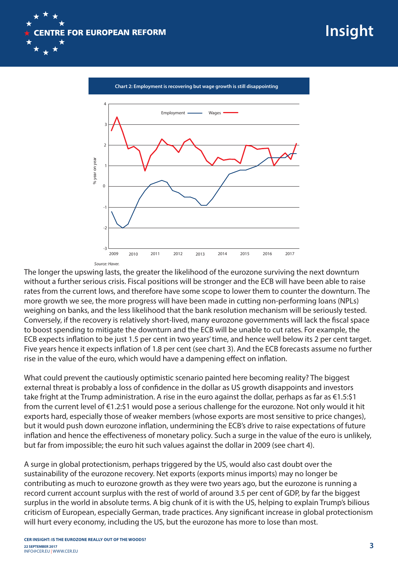



*Source: Haver.*

The longer the upswing lasts, the greater the likelihood of the eurozone surviving the next downturn without a further serious crisis. Fiscal positions will be stronger and the ECB will have been able to raise rates from the current lows, and therefore have some scope to lower them to counter the downturn. The more growth we see, the more progress will have been made in cutting non-performing loans (NPLs) weighing on banks, and the less likelihood that the bank resolution mechanism will be seriously tested. Conversely, if the recovery is relatively short-lived, many eurozone governments will lack the fiscal space to boost spending to mitigate the downturn and the ECB will be unable to cut rates. For example, the ECB expects inflation to be just 1.5 per cent in two years' time, and hence well below its 2 per cent target. Five years hence it expects inflation of 1.8 per cent (see chart 3). And the ECB forecasts assume no further rise in the value of the euro, which would have a dampening effect on inflation.

What could prevent the cautiously optimistic scenario painted here becoming reality? The biggest external threat is probably a loss of confidence in the dollar as US growth disappoints and investors take fright at the Trump administration. A rise in the euro against the dollar, perhaps as far as €1.5:\$1 from the current level of €1.2:\$1 would pose a serious challenge for the eurozone. Not only would it hit exports hard, especially those of weaker members (whose exports are most sensitive to price changes), but it would push down eurozone inflation, undermining the ECB's drive to raise expectations of future inflation and hence the effectiveness of monetary policy. Such a surge in the value of the euro is unlikely, but far from impossible; the euro hit such values against the dollar in 2009 (see chart 4).

A surge in global protectionism, perhaps triggered by the US, would also cast doubt over the sustainability of the eurozone recovery. Net exports (exports minus imports) may no longer be contributing as much to eurozone growth as they were two years ago, but the eurozone is running a record current account surplus with the rest of world of around 3.5 per cent of GDP, by far the biggest surplus in the world in absolute terms. A big chunk of it is with the US, helping to explain Trump's bilious criticism of European, especially German, trade practices. Any significant increase in global protectionism will hurt every economy, including the US, but the eurozone has more to lose than most.

**Insight**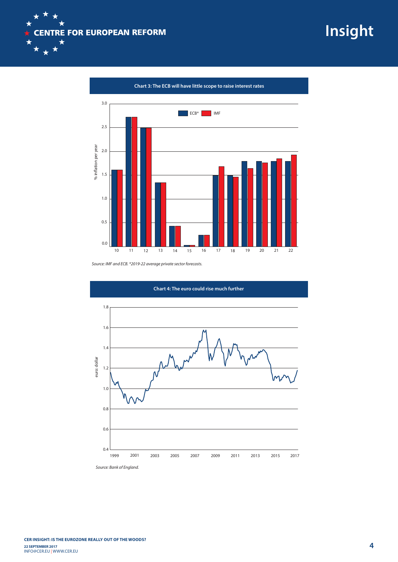

**Insight**

**Chart 3: The ECB will have little scope to raise interest rates**



*Source: IMF and ECB. \*2019-22 average private sector forecasts.*

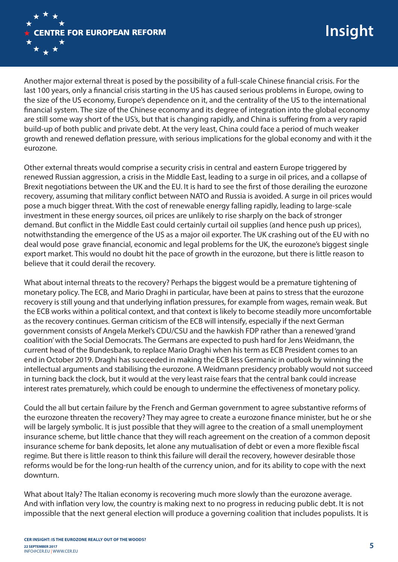

Another major external threat is posed by the possibility of a full-scale Chinese financial crisis. For the last 100 years, only a financial crisis starting in the US has caused serious problems in Europe, owing to the size of the US economy, Europe's dependence on it, and the centrality of the US to the international financial system. The size of the Chinese economy and its degree of integration into the global economy are still some way short of the US's, but that is changing rapidly, and China is suffering from a very rapid build-up of both public and private debt. At the very least, China could face a period of much weaker growth and renewed deflation pressure, with serious implications for the global economy and with it the eurozone.

Other external threats would comprise a security crisis in central and eastern Europe triggered by renewed Russian aggression, a crisis in the Middle East, leading to a surge in oil prices, and a collapse of Brexit negotiations between the UK and the EU. It is hard to see the first of those derailing the eurozone recovery, assuming that military conflict between NATO and Russia is avoided. A surge in oil prices would pose a much bigger threat. With the cost of renewable energy falling rapidly, leading to large-scale investment in these energy sources, oil prices are unlikely to rise sharply on the back of stronger demand. But conflict in the Middle East could certainly curtail oil supplies (and hence push up prices), notwithstanding the emergence of the US as a major oil exporter. The UK crashing out of the EU with no deal would pose grave financial, economic and legal problems for the UK, the eurozone's biggest single export market. This would no doubt hit the pace of growth in the eurozone, but there is little reason to believe that it could derail the recovery.

What about internal threats to the recovery? Perhaps the biggest would be a premature tightening of monetary policy. The ECB, and Mario Draghi in particular, have been at pains to stress that the eurozone recovery is still young and that underlying inflation pressures, for example from wages, remain weak. But the ECB works within a political context, and that context is likely to become steadily more uncomfortable as the recovery continues. German criticism of the ECB will intensify, especially if the next German government consists of Angela Merkel's CDU/CSU and the hawkish FDP rather than a renewed 'grand coalition' with the Social Democrats. The Germans are expected to push hard for Jens Weidmann, the current head of the Bundesbank, to replace Mario Draghi when his term as ECB President comes to an end in October 2019. Draghi has succeeded in making the ECB less Germanic in outlook by winning the intellectual arguments and stabilising the eurozone. A Weidmann presidency probably would not succeed in turning back the clock, but it would at the very least raise fears that the central bank could increase interest rates prematurely, which could be enough to undermine the effectiveness of monetary policy.

Could the all but certain failure by the French and German government to agree substantive reforms of the eurozone threaten the recovery? They may agree to create a eurozone finance minister, but he or she will be largely symbolic. It is just possible that they will agree to the creation of a small unemployment insurance scheme, but little chance that they will reach agreement on the creation of a common deposit insurance scheme for bank deposits, let alone any mutualisation of debt or even a more flexible fiscal regime. But there is little reason to think this failure will derail the recovery, however desirable those reforms would be for the long-run health of the currency union, and for its ability to cope with the next downturn.

What about Italy? The Italian economy is recovering much more slowly than the eurozone average. And with inflation very low, the country is making next to no progress in reducing public debt. It is not impossible that the next general election will produce a governing coalition that includes populists. It is